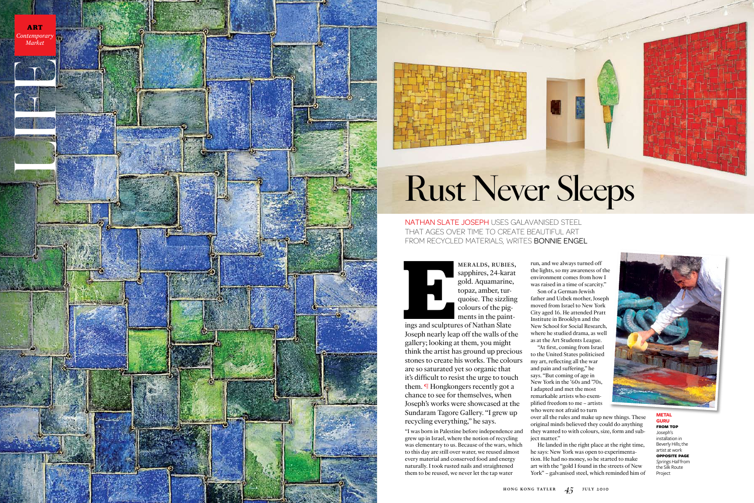sapphires, 24-karat gold. Aquamarine, topaz, amber, tur quoise. The sizzling colours of the pig ments in the paint -

ings and sculptures of Nathan Slate Joseph nearly leap off the walls of the gallery; looking at them, you might think the artist has ground up precious stones to create his works. The colours are so saturated yet so organic that it's difficult to resist the urge to touch them. ¶ Hongkongers recently got a chance to see for themselves, when Joseph's works were showcased at the Sundaram Tagore Gallery. "I grew up recycling everything," he says.

"I was born in Palestine before independence and grew up in Israel, where the notion of recycling was elementary to us. Because of the wars, which to this day are still over water, we reused almost every material and conserved food and energy naturally. I took rusted nails and straightened them to be reused, we never let the tap water

run, and we always turned off the lights, so my awareness of the environment comes from how I was raised in a time of scarcity."

nathan slate joseph uses galavanised steel that ages over time to create beautiful art FROM RECYCLED MATERIALS, WRITES BONNIE ENGEL







Son of a German-Jewish father and Uzbek mother, Joseph moved from Israel to New York City aged 16. He attended Pratt Institute in Brooklyn and the New School for Social Research, where he studied drama, as well as at the Art Students League.

"At first, coming from Israel to the United States politicised my art, reflecting all the war and pain and suffering," he says. "But coming of age in New York in the '60s and '70s, I adapted and met the most remarkable artists who exem plified freedom to me – artists who were not afraid to turn

over all the rules and make up new things. These original minds believed they could do anything they wanted to with colours, size, form and sub ject matter."

He landed in the right place at the right time, he says: New York was open to experimenta tion. He had no money, so he started to make art with the "gold I found in the streets of New York" – galvanised steel, which reminded him of

Project





## Rust Never Sleeps